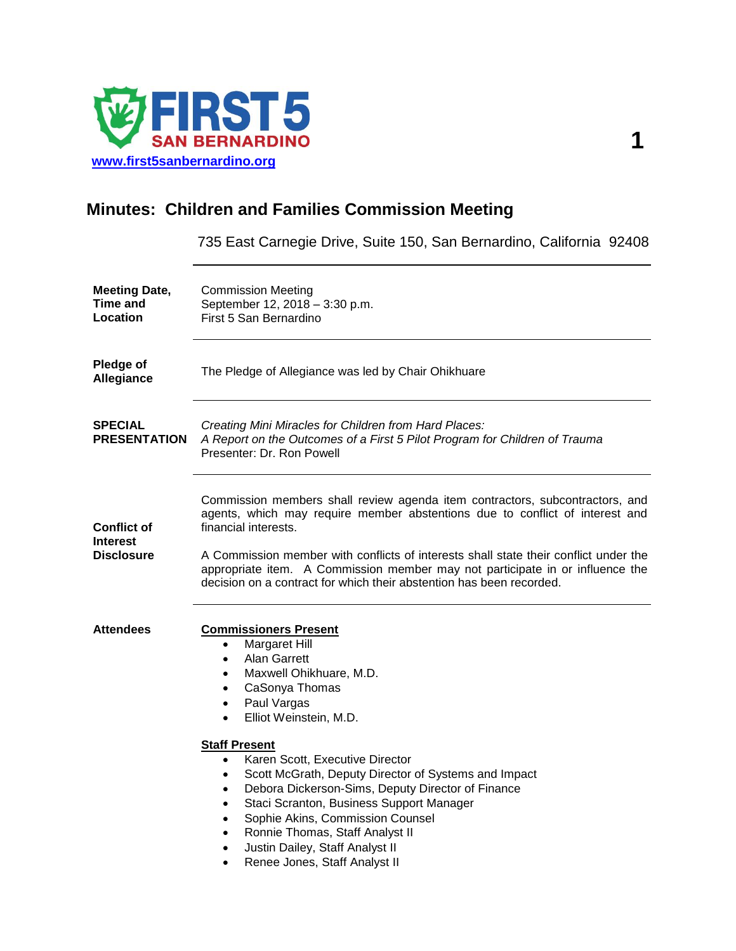

# **Minutes: Children and Families Commission Meeting**

735 East Carnegie Drive, Suite 150, San Bernardino, California 92408

| <b>Meeting Date,</b><br>Time and<br>Location               | <b>Commission Meeting</b><br>September 12, 2018 - 3:30 p.m.<br>First 5 San Bernardino                                                                                                                                                                                                                                                                                                                                                                                                                                                                                                                                                                |
|------------------------------------------------------------|------------------------------------------------------------------------------------------------------------------------------------------------------------------------------------------------------------------------------------------------------------------------------------------------------------------------------------------------------------------------------------------------------------------------------------------------------------------------------------------------------------------------------------------------------------------------------------------------------------------------------------------------------|
| Pledge of<br>Allegiance                                    | The Pledge of Allegiance was led by Chair Ohikhuare                                                                                                                                                                                                                                                                                                                                                                                                                                                                                                                                                                                                  |
| <b>SPECIAL</b><br><b>PRESENTATION</b>                      | Creating Mini Miracles for Children from Hard Places:<br>A Report on the Outcomes of a First 5 Pilot Program for Children of Trauma<br>Presenter: Dr. Ron Powell                                                                                                                                                                                                                                                                                                                                                                                                                                                                                     |
| <b>Conflict of</b><br><b>Interest</b><br><b>Disclosure</b> | Commission members shall review agenda item contractors, subcontractors, and<br>agents, which may require member abstentions due to conflict of interest and<br>financial interests.<br>A Commission member with conflicts of interests shall state their conflict under the<br>appropriate item. A Commission member may not participate in or influence the<br>decision on a contract for which their abstention has been recorded.                                                                                                                                                                                                                |
| <b>Attendees</b>                                           | <b>Commissioners Present</b><br>Margaret Hill<br>$\bullet$<br>Alan Garrett<br>$\bullet$<br>Maxwell Ohikhuare, M.D.<br>$\bullet$<br>CaSonya Thomas<br>$\bullet$<br>Paul Vargas<br>$\bullet$<br>Elliot Weinstein, M.D.<br><b>Staff Present</b><br>Karen Scott, Executive Director<br>$\bullet$<br>Scott McGrath, Deputy Director of Systems and Impact<br>$\bullet$<br>Debora Dickerson-Sims, Deputy Director of Finance<br>$\bullet$<br>Staci Scranton, Business Support Manager<br>Sophie Akins, Commission Counsel<br>Ronnie Thomas, Staff Analyst II<br>$\bullet$<br>Justin Dailey, Staff Analyst II<br>Renee Jones, Staff Analyst II<br>$\bullet$ |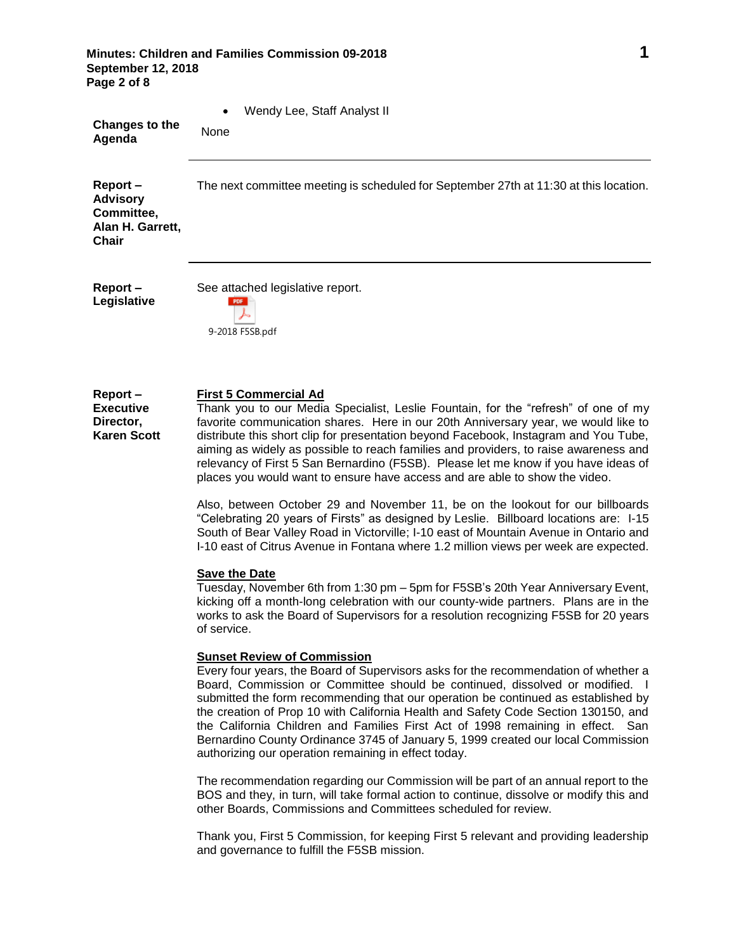**Minutes: Children and Families Commission 09-2018 1 September 12, 2018 Page 2 of 8**

| Changes to the                                                        | Wendy Lee, Staff Analyst II                                                                                                                                                                                                                                                                                                                                                                                                                                                     |
|-----------------------------------------------------------------------|---------------------------------------------------------------------------------------------------------------------------------------------------------------------------------------------------------------------------------------------------------------------------------------------------------------------------------------------------------------------------------------------------------------------------------------------------------------------------------|
| Agenda                                                                | None                                                                                                                                                                                                                                                                                                                                                                                                                                                                            |
| Report-<br><b>Advisory</b><br>Committee,<br>Alan H. Garrett,<br>Chair | The next committee meeting is scheduled for September 27th at 11:30 at this location.                                                                                                                                                                                                                                                                                                                                                                                           |
| Report-                                                               | See attached legislative report.                                                                                                                                                                                                                                                                                                                                                                                                                                                |
| Legislative                                                           | 9-2018 F5SB.pdf                                                                                                                                                                                                                                                                                                                                                                                                                                                                 |
| Report-<br><b>Executive</b><br>Director,<br><b>Karen Scott</b>        | <b>First 5 Commercial Ad</b><br>Thank you to our Media Specialist, Leslie Fountain, for the "refresh" of one of my<br>favorite communication shares. Here in our 20th Anniversary year, we would like to<br>distribute this short clip for presentation beyond Facebook, Instagram and You Tube,<br>aiming as widely as possible to reach families and providers, to raise awareness and<br>relevancy of First 5 San Bernardino (F5SB). Please let me know if you have ideas of |

Also, between October 29 and November 11, be on the lookout for our billboards "Celebrating 20 years of Firsts" as designed by Leslie. Billboard locations are: I-15 South of Bear Valley Road in Victorville; I-10 east of Mountain Avenue in Ontario and I-10 east of Citrus Avenue in Fontana where 1.2 million views per week are expected.

places you would want to ensure have access and are able to show the video.

#### **Save the Date**

Tuesday, November 6th from 1:30 pm – 5pm for F5SB's 20th Year Anniversary Event, kicking off a month-long celebration with our county-wide partners. Plans are in the works to ask the Board of Supervisors for a resolution recognizing F5SB for 20 years of service.

# **Sunset Review of Commission**

Every four years, the Board of Supervisors asks for the recommendation of whether a Board, Commission or Committee should be continued, dissolved or modified. I submitted the form recommending that our operation be continued as established by the creation of Prop 10 with California Health and Safety Code Section 130150, and the California Children and Families First Act of 1998 remaining in effect. San Bernardino County Ordinance 3745 of January 5, 1999 created our local Commission authorizing our operation remaining in effect today.

The recommendation regarding our Commission will be part of an annual report to the BOS and they, in turn, will take formal action to continue, dissolve or modify this and other Boards, Commissions and Committees scheduled for review.

Thank you, First 5 Commission, for keeping First 5 relevant and providing leadership and governance to fulfill the F5SB mission.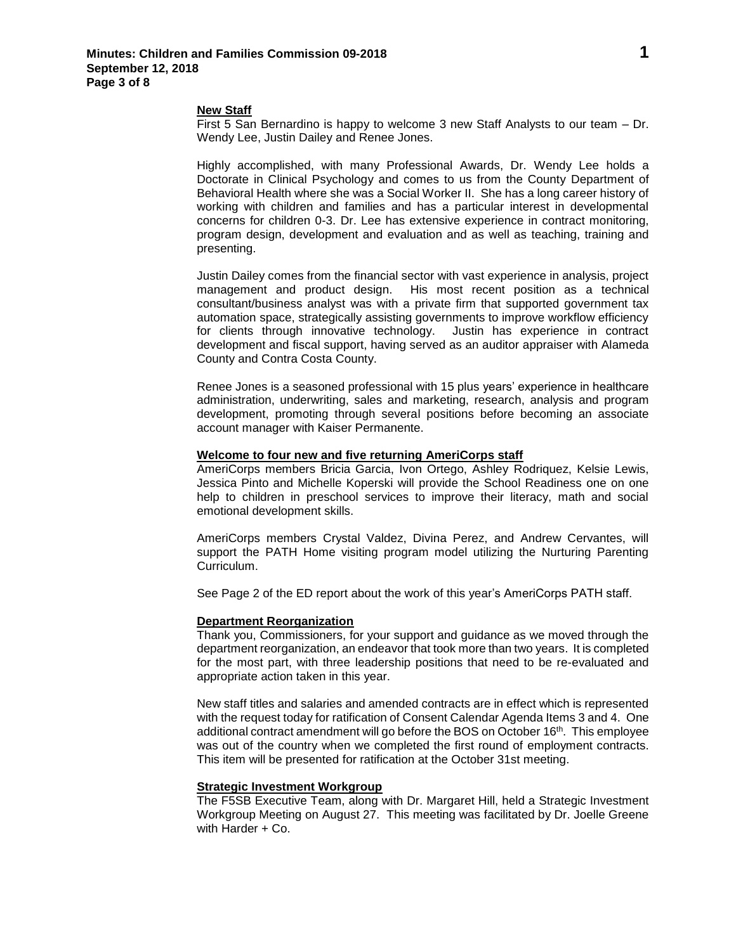## **New Staff**

First 5 San Bernardino is happy to welcome 3 new Staff Analysts to our team – Dr. Wendy Lee, Justin Dailey and Renee Jones.

Highly accomplished, with many Professional Awards, Dr. Wendy Lee holds a Doctorate in Clinical Psychology and comes to us from the County Department of Behavioral Health where she was a Social Worker II. She has a long career history of working with children and families and has a particular interest in developmental concerns for children 0-3. Dr. Lee has extensive experience in contract monitoring, program design, development and evaluation and as well as teaching, training and presenting.

Justin Dailey comes from the financial sector with vast experience in analysis, project management and product design. His most recent position as a technical consultant/business analyst was with a private firm that supported government tax automation space, strategically assisting governments to improve workflow efficiency for clients through innovative technology. Justin has experience in contract development and fiscal support, having served as an auditor appraiser with Alameda County and Contra Costa County.

Renee Jones is a seasoned professional with 15 plus years' experience in healthcare administration, underwriting, sales and marketing, research, analysis and program development, promoting through several positions before becoming an associate account manager with Kaiser Permanente.

# **Welcome to four new and five returning AmeriCorps staff**

AmeriCorps members Bricia Garcia, Ivon Ortego, Ashley Rodriquez, Kelsie Lewis, Jessica Pinto and Michelle Koperski will provide the School Readiness one on one help to children in preschool services to improve their literacy, math and social emotional development skills.

AmeriCorps members Crystal Valdez, Divina Perez, and Andrew Cervantes, will support the PATH Home visiting program model utilizing the Nurturing Parenting Curriculum.

See Page 2 of the ED report about the work of this year's AmeriCorps PATH staff.

## **Department Reorganization**

Thank you, Commissioners, for your support and guidance as we moved through the department reorganization, an endeavor that took more than two years. It is completed for the most part, with three leadership positions that need to be re-evaluated and appropriate action taken in this year.

New staff titles and salaries and amended contracts are in effect which is represented with the request today for ratification of Consent Calendar Agenda Items 3 and 4. One additional contract amendment will go before the BOS on October 16th. This employee was out of the country when we completed the first round of employment contracts. This item will be presented for ratification at the October 31st meeting.

#### **Strategic Investment Workgroup**

The F5SB Executive Team, along with Dr. Margaret Hill, held a Strategic Investment Workgroup Meeting on August 27. This meeting was facilitated by Dr. Joelle Greene with Harder + Co.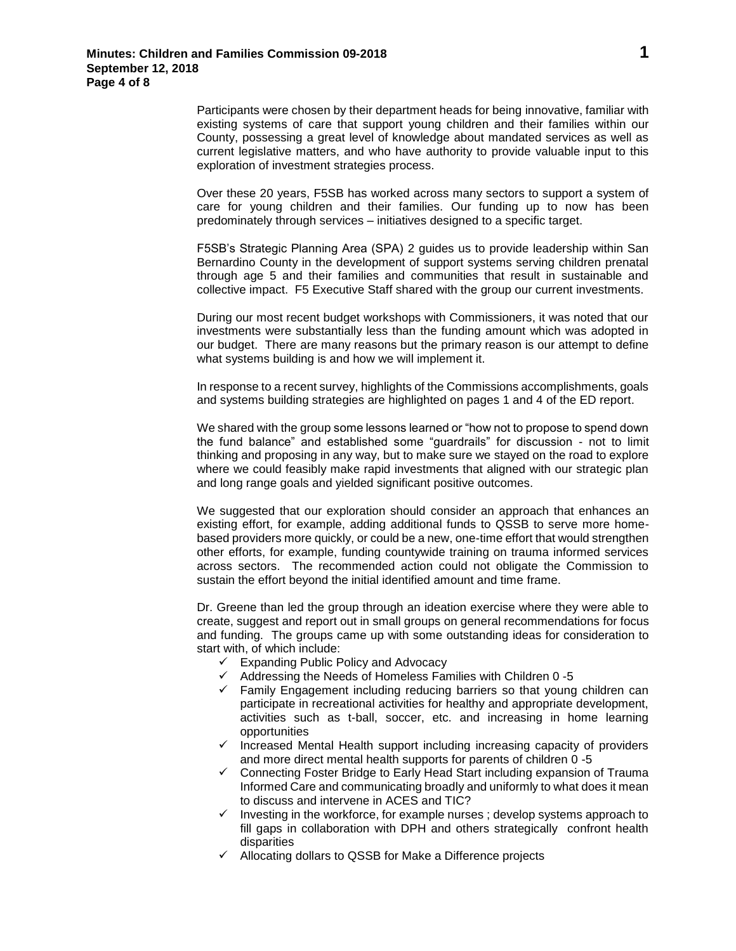Participants were chosen by their department heads for being innovative, familiar with existing systems of care that support young children and their families within our County, possessing a great level of knowledge about mandated services as well as current legislative matters, and who have authority to provide valuable input to this exploration of investment strategies process.

Over these 20 years, F5SB has worked across many sectors to support a system of care for young children and their families. Our funding up to now has been predominately through services – initiatives designed to a specific target.

F5SB's Strategic Planning Area (SPA) 2 guides us to provide leadership within San Bernardino County in the development of support systems serving children prenatal through age 5 and their families and communities that result in sustainable and collective impact. F5 Executive Staff shared with the group our current investments.

During our most recent budget workshops with Commissioners, it was noted that our investments were substantially less than the funding amount which was adopted in our budget. There are many reasons but the primary reason is our attempt to define what systems building is and how we will implement it.

In response to a recent survey, highlights of the Commissions accomplishments, goals and systems building strategies are highlighted on pages 1 and 4 of the ED report.

We shared with the group some lessons learned or "how not to propose to spend down the fund balance" and established some "guardrails" for discussion - not to limit thinking and proposing in any way, but to make sure we stayed on the road to explore where we could feasibly make rapid investments that aligned with our strategic plan and long range goals and yielded significant positive outcomes.

We suggested that our exploration should consider an approach that enhances an existing effort, for example, adding additional funds to QSSB to serve more homebased providers more quickly, or could be a new, one-time effort that would strengthen other efforts, for example, funding countywide training on trauma informed services across sectors. The recommended action could not obligate the Commission to sustain the effort beyond the initial identified amount and time frame.

Dr. Greene than led the group through an ideation exercise where they were able to create, suggest and report out in small groups on general recommendations for focus and funding. The groups came up with some outstanding ideas for consideration to start with, of which include:

- $\checkmark$  Expanding Public Policy and Advocacy
- $\checkmark$  Addressing the Needs of Homeless Families with Children 0 -5
- $\checkmark$  Family Engagement including reducing barriers so that young children can participate in recreational activities for healthy and appropriate development, activities such as t-ball, soccer, etc. and increasing in home learning opportunities
- $\checkmark$  Increased Mental Health support including increasing capacity of providers and more direct mental health supports for parents of children 0 -5
- $\checkmark$  Connecting Foster Bridge to Early Head Start including expansion of Trauma Informed Care and communicating broadly and uniformly to what does it mean to discuss and intervene in ACES and TIC?
- $\checkmark$  Investing in the workforce, for example nurses; develop systems approach to fill gaps in collaboration with DPH and others strategically confront health disparities
- $\checkmark$  Allocating dollars to QSSB for Make a Difference projects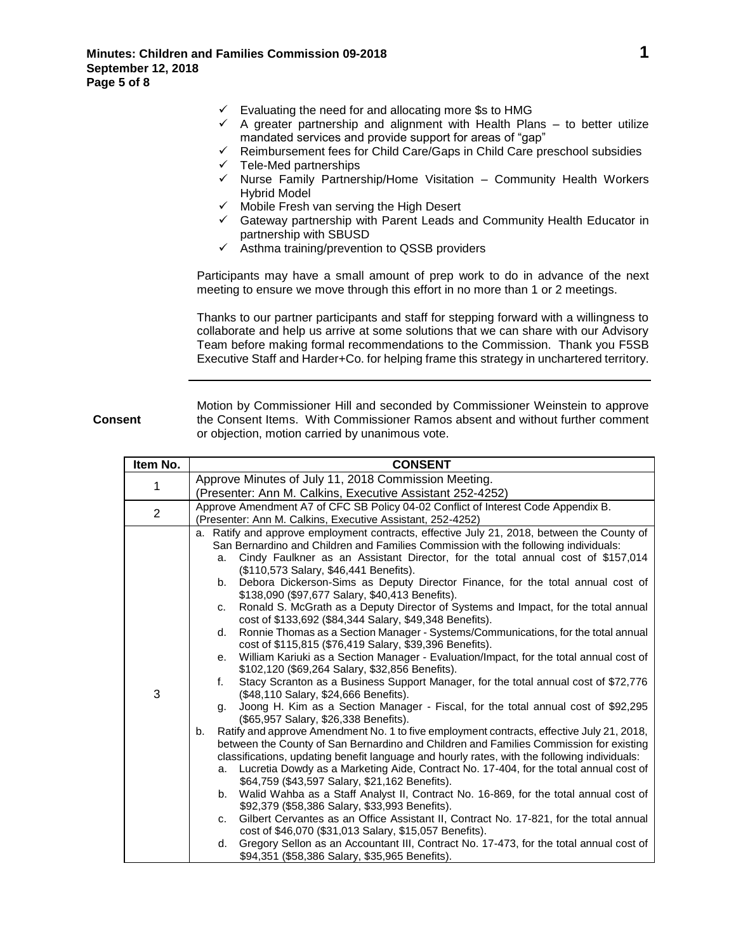- $\checkmark$  Evaluating the need for and allocating more \$s to HMG
- $\checkmark$  A greater partnership and alignment with Health Plans to better utilize mandated services and provide support for areas of "gap"
- $\checkmark$  Reimbursement fees for Child Care/Gaps in Child Care preschool subsidies
- Tele-Med partnerships
- $\checkmark$  Nurse Family Partnership/Home Visitation Community Health Workers Hybrid Model
- $\checkmark$  Mobile Fresh van serving the High Desert
- $\checkmark$  Gateway partnership with Parent Leads and Community Health Educator in partnership with SBUSD
- $\checkmark$  Asthma training/prevention to QSSB providers

Participants may have a small amount of prep work to do in advance of the next meeting to ensure we move through this effort in no more than 1 or 2 meetings.

Thanks to our partner participants and staff for stepping forward with a willingness to collaborate and help us arrive at some solutions that we can share with our Advisory Team before making formal recommendations to the Commission. Thank you F5SB Executive Staff and Harder+Co. for helping frame this strategy in unchartered territory.

**Consent**

Motion by Commissioner Hill and seconded by Commissioner Weinstein to approve the Consent Items. With Commissioner Ramos absent and without further comment or objection, motion carried by unanimous vote.

| Item No.       |    | <b>CONSENT</b>                                                                                                                                |
|----------------|----|-----------------------------------------------------------------------------------------------------------------------------------------------|
|                |    | Approve Minutes of July 11, 2018 Commission Meeting.                                                                                          |
| 1              |    | (Presenter: Ann M. Calkins, Executive Assistant 252-4252)                                                                                     |
| $\overline{2}$ |    | Approve Amendment A7 of CFC SB Policy 04-02 Conflict of Interest Code Appendix B.                                                             |
|                |    | (Presenter: Ann M. Calkins, Executive Assistant, 252-4252)                                                                                    |
|                |    | a. Ratify and approve employment contracts, effective July 21, 2018, between the County of                                                    |
|                |    | San Bernardino and Children and Families Commission with the following individuals:                                                           |
|                | a. | Cindy Faulkner as an Assistant Director, for the total annual cost of \$157,014<br>(\$110,573 Salary, \$46,441 Benefits).                     |
|                | b. | Debora Dickerson-Sims as Deputy Director Finance, for the total annual cost of<br>\$138,090 (\$97,677 Salary, \$40,413 Benefits).             |
|                | C. | Ronald S. McGrath as a Deputy Director of Systems and Impact, for the total annual<br>cost of \$133,692 (\$84,344 Salary, \$49,348 Benefits). |
|                | d. | Ronnie Thomas as a Section Manager - Systems/Communications, for the total annual                                                             |
|                |    | cost of \$115,815 (\$76,419 Salary, \$39,396 Benefits).                                                                                       |
|                | е. | William Kariuki as a Section Manager - Evaluation/Impact, for the total annual cost of<br>\$102,120 (\$69,264 Salary, \$32,856 Benefits).     |
|                | f. | Stacy Scranton as a Business Support Manager, for the total annual cost of \$72,776                                                           |
| 3              |    | (\$48,110 Salary, \$24,666 Benefits).                                                                                                         |
|                | g. | Joong H. Kim as a Section Manager - Fiscal, for the total annual cost of \$92,295                                                             |
|                | b. | (\$65,957 Salary, \$26,338 Benefits).<br>Ratify and approve Amendment No. 1 to five employment contracts, effective July 21, 2018,            |
|                |    | between the County of San Bernardino and Children and Families Commission for existing                                                        |
|                |    | classifications, updating benefit language and hourly rates, with the following individuals:                                                  |
|                | a. | Lucretia Dowdy as a Marketing Aide, Contract No. 17-404, for the total annual cost of                                                         |
|                |    | \$64,759 (\$43,597 Salary, \$21,162 Benefits).                                                                                                |
|                |    | b. Walid Wahba as a Staff Analyst II, Contract No. 16-869, for the total annual cost of                                                       |
|                |    | \$92,379 (\$58,386 Salary, \$33,993 Benefits).                                                                                                |
|                | C. | Gilbert Cervantes as an Office Assistant II, Contract No. 17-821, for the total annual                                                        |
|                |    | cost of \$46,070 (\$31,013 Salary, \$15,057 Benefits).                                                                                        |
|                | d. | Gregory Sellon as an Accountant III, Contract No. 17-473, for the total annual cost of                                                        |
|                |    | \$94,351 (\$58,386 Salary, \$35,965 Benefits).                                                                                                |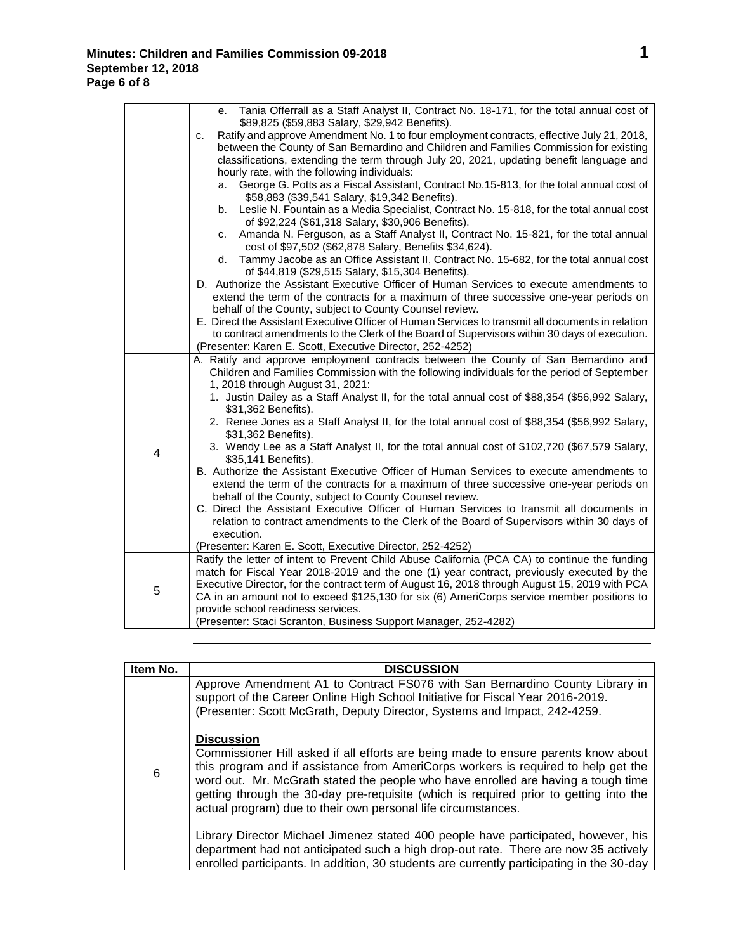|   | e. Tania Offerrall as a Staff Analyst II, Contract No. 18-171, for the total annual cost of                                                       |
|---|---------------------------------------------------------------------------------------------------------------------------------------------------|
|   | \$89,825 (\$59,883 Salary, \$29,942 Benefits).<br>Ratify and approve Amendment No. 1 to four employment contracts, effective July 21, 2018,<br>C. |
|   | between the County of San Bernardino and Children and Families Commission for existing                                                            |
|   | classifications, extending the term through July 20, 2021, updating benefit language and                                                          |
|   | hourly rate, with the following individuals:                                                                                                      |
|   | George G. Potts as a Fiscal Assistant, Contract No.15-813, for the total annual cost of<br>а.                                                     |
|   | \$58,883 (\$39,541 Salary, \$19,342 Benefits).                                                                                                    |
|   | Leslie N. Fountain as a Media Specialist, Contract No. 15-818, for the total annual cost<br>b.                                                    |
|   | of \$92,224 (\$61,318 Salary, \$30,906 Benefits).                                                                                                 |
|   | Amanda N. Ferguson, as a Staff Analyst II, Contract No. 15-821, for the total annual<br>c.                                                        |
|   | cost of \$97,502 (\$62,878 Salary, Benefits \$34,624).                                                                                            |
|   | Tammy Jacobe as an Office Assistant II, Contract No. 15-682, for the total annual cost<br>d.<br>of \$44,819 (\$29,515 Salary, \$15,304 Benefits). |
|   | D. Authorize the Assistant Executive Officer of Human Services to execute amendments to                                                           |
|   | extend the term of the contracts for a maximum of three successive one-year periods on                                                            |
|   | behalf of the County, subject to County Counsel review.                                                                                           |
|   | E. Direct the Assistant Executive Officer of Human Services to transmit all documents in relation                                                 |
|   | to contract amendments to the Clerk of the Board of Supervisors within 30 days of execution.                                                      |
|   | (Presenter: Karen E. Scott, Executive Director, 252-4252)                                                                                         |
|   | A. Ratify and approve employment contracts between the County of San Bernardino and                                                               |
|   | Children and Families Commission with the following individuals for the period of September                                                       |
|   | 1, 2018 through August 31, 2021:                                                                                                                  |
|   | 1. Justin Dailey as a Staff Analyst II, for the total annual cost of \$88,354 (\$56,992 Salary,<br>\$31,362 Benefits).                            |
|   | 2. Renee Jones as a Staff Analyst II, for the total annual cost of \$88,354 (\$56,992 Salary,                                                     |
|   | \$31,362 Benefits).                                                                                                                               |
|   | 3. Wendy Lee as a Staff Analyst II, for the total annual cost of \$102,720 (\$67,579 Salary,                                                      |
| 4 | \$35,141 Benefits).                                                                                                                               |
|   | B. Authorize the Assistant Executive Officer of Human Services to execute amendments to                                                           |
|   | extend the term of the contracts for a maximum of three successive one-year periods on                                                            |
|   | behalf of the County, subject to County Counsel review.                                                                                           |
|   | C. Direct the Assistant Executive Officer of Human Services to transmit all documents in                                                          |
|   | relation to contract amendments to the Clerk of the Board of Supervisors within 30 days of<br>execution.                                          |
|   | (Presenter: Karen E. Scott, Executive Director, 252-4252)                                                                                         |
|   | Ratify the letter of intent to Prevent Child Abuse California (PCA CA) to continue the funding                                                    |
| 5 | match for Fiscal Year 2018-2019 and the one (1) year contract, previously executed by the                                                         |
|   | Executive Director, for the contract term of August 16, 2018 through August 15, 2019 with PCA                                                     |
|   | CA in an amount not to exceed \$125,130 for six (6) AmeriCorps service member positions to                                                        |
|   | provide school readiness services.                                                                                                                |
|   | (Presenter: Staci Scranton, Business Support Manager, 252-4282)                                                                                   |

| Item No. | <b>DISCUSSION</b>                                                                                                                                                                                                                                                                                                                                                                                                                            |
|----------|----------------------------------------------------------------------------------------------------------------------------------------------------------------------------------------------------------------------------------------------------------------------------------------------------------------------------------------------------------------------------------------------------------------------------------------------|
| 6        | Approve Amendment A1 to Contract FS076 with San Bernardino County Library in<br>support of the Career Online High School Initiative for Fiscal Year 2016-2019.<br>(Presenter: Scott McGrath, Deputy Director, Systems and Impact, 242-4259.                                                                                                                                                                                                  |
|          | <b>Discussion</b><br>Commissioner Hill asked if all efforts are being made to ensure parents know about<br>this program and if assistance from AmeriCorps workers is required to help get the<br>word out. Mr. McGrath stated the people who have enrolled are having a tough time<br>getting through the 30-day pre-requisite (which is required prior to getting into the<br>actual program) due to their own personal life circumstances. |
|          | Library Director Michael Jimenez stated 400 people have participated, however, his<br>department had not anticipated such a high drop-out rate. There are now 35 actively<br>enrolled participants. In addition, 30 students are currently participating in the 30-day                                                                                                                                                                       |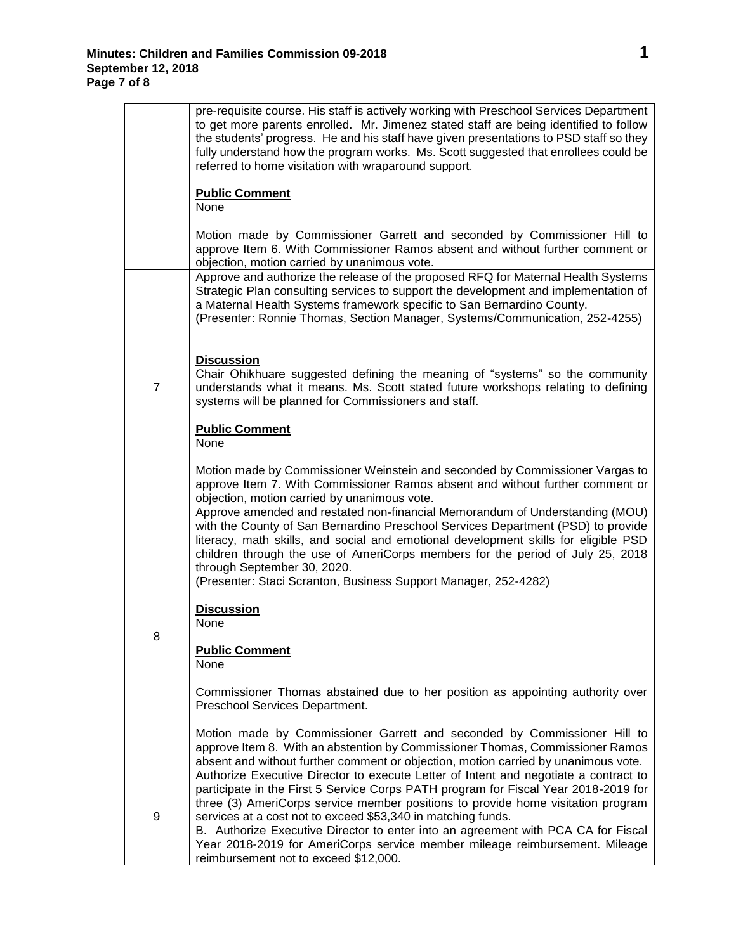L.

|                | pre-requisite course. His staff is actively working with Preschool Services Department<br>to get more parents enrolled. Mr. Jimenez stated staff are being identified to follow<br>the students' progress. He and his staff have given presentations to PSD staff so they<br>fully understand how the program works. Ms. Scott suggested that enrollees could be<br>referred to home visitation with wraparound support.                                                                                                                     |
|----------------|----------------------------------------------------------------------------------------------------------------------------------------------------------------------------------------------------------------------------------------------------------------------------------------------------------------------------------------------------------------------------------------------------------------------------------------------------------------------------------------------------------------------------------------------|
|                | <b>Public Comment</b><br>None                                                                                                                                                                                                                                                                                                                                                                                                                                                                                                                |
|                | Motion made by Commissioner Garrett and seconded by Commissioner Hill to<br>approve Item 6. With Commissioner Ramos absent and without further comment or<br>objection, motion carried by unanimous vote.                                                                                                                                                                                                                                                                                                                                    |
| $\overline{7}$ | Approve and authorize the release of the proposed RFQ for Maternal Health Systems<br>Strategic Plan consulting services to support the development and implementation of<br>a Maternal Health Systems framework specific to San Bernardino County.<br>(Presenter: Ronnie Thomas, Section Manager, Systems/Communication, 252-4255)                                                                                                                                                                                                           |
|                | <b>Discussion</b><br>Chair Ohikhuare suggested defining the meaning of "systems" so the community<br>understands what it means. Ms. Scott stated future workshops relating to defining<br>systems will be planned for Commissioners and staff.                                                                                                                                                                                                                                                                                               |
|                | <b>Public Comment</b><br>None                                                                                                                                                                                                                                                                                                                                                                                                                                                                                                                |
|                | Motion made by Commissioner Weinstein and seconded by Commissioner Vargas to<br>approve Item 7. With Commissioner Ramos absent and without further comment or<br>objection, motion carried by unanimous vote.                                                                                                                                                                                                                                                                                                                                |
| 8              | Approve amended and restated non-financial Memorandum of Understanding (MOU)<br>with the County of San Bernardino Preschool Services Department (PSD) to provide<br>literacy, math skills, and social and emotional development skills for eligible PSD<br>children through the use of AmeriCorps members for the period of July 25, 2018<br>through September 30, 2020.<br>(Presenter: Staci Scranton, Business Support Manager, 252-4282)                                                                                                  |
|                | <b>Discussion</b><br>None                                                                                                                                                                                                                                                                                                                                                                                                                                                                                                                    |
|                | <b>Public Comment</b><br>None                                                                                                                                                                                                                                                                                                                                                                                                                                                                                                                |
|                | Commissioner Thomas abstained due to her position as appointing authority over<br>Preschool Services Department.                                                                                                                                                                                                                                                                                                                                                                                                                             |
|                | Motion made by Commissioner Garrett and seconded by Commissioner Hill to<br>approve Item 8. With an abstention by Commissioner Thomas, Commissioner Ramos<br>absent and without further comment or objection, motion carried by unanimous vote.                                                                                                                                                                                                                                                                                              |
| 9              | Authorize Executive Director to execute Letter of Intent and negotiate a contract to<br>participate in the First 5 Service Corps PATH program for Fiscal Year 2018-2019 for<br>three (3) AmeriCorps service member positions to provide home visitation program<br>services at a cost not to exceed \$53,340 in matching funds.<br>B. Authorize Executive Director to enter into an agreement with PCA CA for Fiscal<br>Year 2018-2019 for AmeriCorps service member mileage reimbursement. Mileage<br>reimbursement not to exceed \$12,000. |